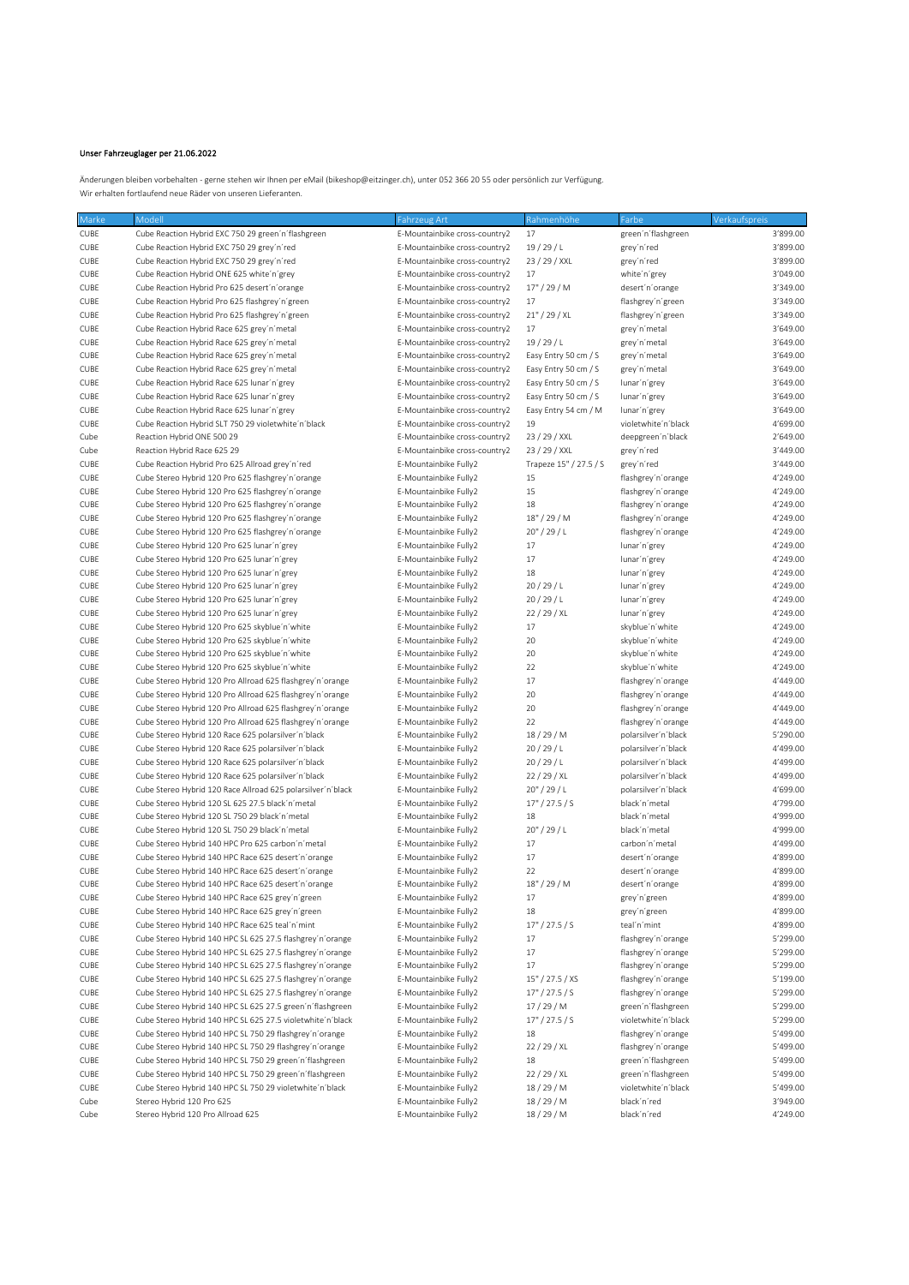## Unser Fahrzeuglager per 21.06.2022

Änderungen bleiben vorbehalten - gerne stehen wir Ihnen per eMail (bikeshop@eitzinger.ch), unter 052 366 20 55 oder persönlich zur Verfügung. Wir erhalten fortlaufend neue Räder von unseren Lieferanten.

| Marke       | Modell                                                      | Fahrzeug Art                  | Rahmenhöhe             | Farbe               | Verkaufspreis |
|-------------|-------------------------------------------------------------|-------------------------------|------------------------|---------------------|---------------|
| CUBE        | Cube Reaction Hybrid EXC 750 29 green'n'flashgreen          | E-Mountainbike cross-country2 | 17                     | green'n'flashgreen  | 3'899.00      |
| CUBE        | Cube Reaction Hybrid EXC 750 29 grey'n'red                  | E-Mountainbike cross-country2 | 19/29/L                | grey'n'red          | 3'899.00      |
| CUBE        | Cube Reaction Hybrid EXC 750 29 grey'n'red                  | E-Mountainbike cross-country2 | 23 / 29 / XXL          | grey'n'red          | 3'899.00      |
| CUBE        | Cube Reaction Hybrid ONE 625 white'n'grey                   | E-Mountainbike cross-country2 | 17                     | white'n'grey        | 3'049.00      |
| CUBE        | Cube Reaction Hybrid Pro 625 desert'n'orange                | E-Mountainbike cross-country2 | $17" / 29'$ M          | desert'n'orange     | 3'349.00      |
| CUBE        | Cube Reaction Hybrid Pro 625 flashgrey'n'green              | E-Mountainbike cross-country2 | 17                     | flashgrey'n'green   | 3'349.00      |
| CUBE        | Cube Reaction Hybrid Pro 625 flashgrey'n'green              | E-Mountainbike cross-country2 | $21''$ / 29 / XL       | flashgrey'n'green   | 3'349.00      |
| CUBE        | Cube Reaction Hybrid Race 625 grey'n'metal                  | E-Mountainbike cross-country2 | 17                     | grey'n'metal        | 3'649.00      |
| CUBE        | Cube Reaction Hybrid Race 625 grey'n'metal                  | E-Mountainbike cross-country2 | 19/29/L                | grey'n'metal        | 3'649.00      |
| CUBE        | Cube Reaction Hybrid Race 625 grey'n'metal                  | E-Mountainbike cross-country2 | Easy Entry 50 cm / S   |                     | 3'649.00      |
|             |                                                             |                               |                        | grey'n'metal        |               |
| CUBE        | Cube Reaction Hybrid Race 625 grey'n'metal                  | E-Mountainbike cross-country2 | Easy Entry 50 cm / S   | grey'n'metal        | 3'649.00      |
| CUBE        | Cube Reaction Hybrid Race 625 lunar'n'grey                  | E-Mountainbike cross-country2 | Easy Entry 50 cm / S   | lunar'n'grey        | 3'649.00      |
| CUBE        | Cube Reaction Hybrid Race 625 lunar'n'grey                  | E-Mountainbike cross-country2 | Easy Entry 50 cm / S   | lunar'n'grey        | 3'649.00      |
| CUBE        | Cube Reaction Hybrid Race 625 lunar'n'grey                  | E-Mountainbike cross-country2 | Easy Entry 54 cm / M   | lunar'n'grey        | 3'649.00      |
| CUBE        | Cube Reaction Hybrid SLT 750 29 violetwhite'n'black         | E-Mountainbike cross-country2 | 19                     | violetwhite'n'black | 4'699.00      |
| Cube        | Reaction Hybrid ONE 500 29                                  | E-Mountainbike cross-country2 | 23 / 29 / XXL          | deepgreen'n'black   | 2'649.00      |
| Cube        | Reaction Hybrid Race 625 29                                 | E-Mountainbike cross-country2 | 23 / 29 / XXL          | grey'n'red          | 3'449.00      |
| CUBE        | Cube Reaction Hybrid Pro 625 Allroad grey'n'red             | E-Mountainbike Fully2         | Trapeze 15" / 27.5 / S | grey'n'red          | 3'449.00      |
| CUBE        | Cube Stereo Hybrid 120 Pro 625 flashgrey'n'orange           | E-Mountainbike Fully2         | 15                     | flashgrey'n'orange  | 4'249.00      |
| CUBE        | Cube Stereo Hybrid 120 Pro 625 flashgrey'n'orange           | E-Mountainbike Fully2         | 15                     | flashgrey'n'orange  | 4'249.00      |
| CUBE        | Cube Stereo Hybrid 120 Pro 625 flashgrey'n'orange           | E-Mountainbike Fully2         | 18                     | flashgrey'n'orange  | 4'249.00      |
| CUBE        | Cube Stereo Hybrid 120 Pro 625 flashgrey'n'orange           | E-Mountainbike Fully2         | 18" / 29 / M           | flashgrey'n'orange  | 4'249.00      |
| CUBE        | Cube Stereo Hybrid 120 Pro 625 flashgrey'n'orange           | E-Mountainbike Fully2         | 20" / 29 / L           | flashgrey'n'orange  | 4'249.00      |
|             |                                                             |                               |                        |                     |               |
| CUBE        | Cube Stereo Hybrid 120 Pro 625 lunar'n'grey                 | E-Mountainbike Fully2         | 17                     | lunar'n'grey        | 4'249.00      |
| CUBE        | Cube Stereo Hybrid 120 Pro 625 lunar'n'grey                 | E-Mountainbike Fully2         | 17                     | lunar'n'grey        | 4'249.00      |
| CUBE        | Cube Stereo Hybrid 120 Pro 625 lunar'n'grey                 | E-Mountainbike Fully2         | 18                     | lunar'n'grey        | 4'249.00      |
| CUBE        | Cube Stereo Hybrid 120 Pro 625 lunar'n'grey                 | E-Mountainbike Fully2         | 20/29/L                | lunar'n'grey        | 4'249.00      |
| CUBE        | Cube Stereo Hybrid 120 Pro 625 lunar'n'grey                 | E-Mountainbike Fully2         | 20/29/L                | lunar'n'grey        | 4'249.00      |
| CUBE        | Cube Stereo Hybrid 120 Pro 625 lunar'n'grey                 | E-Mountainbike Fully2         | 22 / 29 / XL           | lunar'n'grey        | 4'249.00      |
| CUBE        | Cube Stereo Hybrid 120 Pro 625 skyblue'n'white              | E-Mountainbike Fully2         | 17                     | skyblue'n'white     | 4'249.00      |
| CUBE        | Cube Stereo Hybrid 120 Pro 625 skyblue'n'white              | E-Mountainbike Fully2         | 20                     | skyblue'n'white     | 4'249.00      |
| CUBE        | Cube Stereo Hybrid 120 Pro 625 skyblue'n'white              | E-Mountainbike Fully2         | 20                     | skyblue'n'white     | 4'249.00      |
| CUBE        | Cube Stereo Hybrid 120 Pro 625 skyblue'n'white              | E-Mountainbike Fully2         | 22                     | skyblue'n'white     | 4'249.00      |
| CUBE        | Cube Stereo Hybrid 120 Pro Allroad 625 flashgrey'n'orange   | E-Mountainbike Fully2         | 17                     | flashgrey'n'orange  | 4'449.00      |
| CUBE        | Cube Stereo Hybrid 120 Pro Allroad 625 flashgrey'n'orange   | E-Mountainbike Fully2         | 20                     | flashgrey'n'orange  | 4'449.00      |
| CUBE        | Cube Stereo Hybrid 120 Pro Allroad 625 flashgrey'n'orange   | E-Mountainbike Fully2         | 20                     | flashgrey'n'orange  | 4'449.00      |
|             | Cube Stereo Hybrid 120 Pro Allroad 625 flashgrey'n'orange   |                               | 22                     |                     | 4'449.00      |
| CUBE        |                                                             | E-Mountainbike Fully2         |                        | flashgrey'n'orange  |               |
| CUBE        | Cube Stereo Hybrid 120 Race 625 polarsilver'n'black         | E-Mountainbike Fully2         | 18/29/M                | polarsilver'n'black | 5'290.00      |
| CUBE        | Cube Stereo Hybrid 120 Race 625 polarsilver'n'black         | E-Mountainbike Fully2         | 20/29/L                | polarsilver'n'black | 4'499.00      |
| CUBE        | Cube Stereo Hybrid 120 Race 625 polarsilver'n'black         | E-Mountainbike Fully2         | 20/29/L                | polarsilver'n'black | 4'499.00      |
| CUBE        | Cube Stereo Hybrid 120 Race 625 polarsilver'n'black         | E-Mountainbike Fully2         | 22 / 29 / XL           | polarsilver'n'black | 4'499.00      |
| CUBE        | Cube Stereo Hybrid 120 Race Allroad 625 polarsilver'n'black | E-Mountainbike Fully2         | 20''/29/L              | polarsilver'n'black | 4'699.00      |
| CUBE        | Cube Stereo Hybrid 120 SL 625 27.5 black'n'metal            | E-Mountainbike Fully2         | 17" / 27.5 / S         | black'n'metal       | 4'799.00      |
| CUBE        | Cube Stereo Hybrid 120 SL 750 29 black'n'metal              | E-Mountainbike Fully2         | 18                     | black'n'metal       | 4'999.00      |
| CUBE        | Cube Stereo Hybrid 120 SL 750 29 black'n'metal              | E-Mountainbike Fully2         | 20''/29/L              | black'n'metal       | 4'999.00      |
| CUBE        | Cube Stereo Hybrid 140 HPC Pro 625 carbon'n'metal           | E-Mountainbike Fully2         | 17                     | carbon'n'metal      | 4'499.00      |
| CUBE        | Cube Stereo Hybrid 140 HPC Race 625 desert'n'orange         | E-Mountainbike Fully2         | 17                     | desert'n'orange     | 4'899.00      |
| <b>CUBE</b> | Cube Stereo Hybrid 140 HPC Race 625 desert'n'orange         | E-Mountainbike Fully2         | 22                     | desert'n'orange     | 4'899.00      |
| <b>CUBE</b> | Cube Stereo Hybrid 140 HPC Race 625 desert'n'orange         | E-Mountainbike Fully2         | 18" / 29 / M           | desert'n'orange     | 4'899.00      |
| CUBE        | Cube Stereo Hybrid 140 HPC Race 625 grey'n'green            | E-Mountainbike Fully2         | $17\,$                 | grey'n'green        | 4'899.00      |
|             |                                                             |                               |                        |                     |               |
| CUBE        | Cube Stereo Hybrid 140 HPC Race 625 grey'n'green            | E-Mountainbike Fully2         | 18                     | grey'n'green        | 4'899.00      |
| CUBE        | Cube Stereo Hybrid 140 HPC Race 625 teal'n'mint             | E-Mountainbike Fully2         | 17" / 27.5 / S         | teal'n'mint         | 4'899.00      |
| CUBE        | Cube Stereo Hybrid 140 HPC SL 625 27.5 flashgrey'n'orange   | E-Mountainbike Fully2         | 17                     | flashgrey'n'orange  | 5'299.00      |
| CUBE        | Cube Stereo Hybrid 140 HPC SL 625 27.5 flashgrey'n'orange   | E-Mountainbike Fully2         | 17                     | flashgrey'n'orange  | 5'299.00      |
| CUBE        | Cube Stereo Hybrid 140 HPC SL 625 27.5 flashgrey'n'orange   | E-Mountainbike Fully2         | 17                     | flashgrey'n'orange  | 5'299.00      |
| CUBE        | Cube Stereo Hybrid 140 HPC SL 625 27.5 flashgrey'n'orange   | E-Mountainbike Fully2         | 15" / 27.5 / XS        | flashgrey'n'orange  | 5'199.00      |
| CUBE        | Cube Stereo Hybrid 140 HPC SL 625 27.5 flashgrey'n'orange   | E-Mountainbike Fully2         | 17" / 27.5 / S         | flashgrey'n'orange  | 5'299.00      |
| CUBE        | Cube Stereo Hybrid 140 HPC SL 625 27.5 green'n'flashgreen   | E-Mountainbike Fully2         | 17/29/M                | green'n'flashgreen  | 5'299.00      |
| CUBE        | Cube Stereo Hybrid 140 HPC SL 625 27.5 violetwhite'n'black  | E-Mountainbike Fully2         | 17" / 27.5 / S         | violetwhite'n'black | 5'299.00      |
| CUBE        | Cube Stereo Hybrid 140 HPC SL 750 29 flashgrey'n'orange     | E-Mountainbike Fully2         | 18                     | flashgrey'n'orange  | 5'499.00      |
| CUBE        | Cube Stereo Hybrid 140 HPC SL 750 29 flashgrey'n'orange     | E-Mountainbike Fully2         | 22 / 29 / XL           | flashgrey'n'orange  | 5'499.00      |
| CUBE        | Cube Stereo Hybrid 140 HPC SL 750 29 green'n'flashgreen     | E-Mountainbike Fully2         | 18                     | green'n'flashgreen  | 5'499.00      |
| CUBE        | Cube Stereo Hybrid 140 HPC SL 750 29 green'n'flashgreen     | E-Mountainbike Fully2         | 22 / 29 / XL           | green'n'flashgreen  | 5'499.00      |
|             |                                                             |                               |                        |                     |               |
| CUBE        | Cube Stereo Hybrid 140 HPC SL 750 29 violetwhite'n'black    | E-Mountainbike Fully2         | 18/29/M                | violetwhite'n'black | 5'499.00      |
| Cube        | Stereo Hybrid 120 Pro 625                                   | E-Mountainbike Fully2         | 18/29/M                | black'n'red         | 3'949.00      |
| Cube        | Stereo Hybrid 120 Pro Allroad 625                           | E-Mountainbike Fully2         | 18/29/M                | black'n'red         | 4'249.00      |